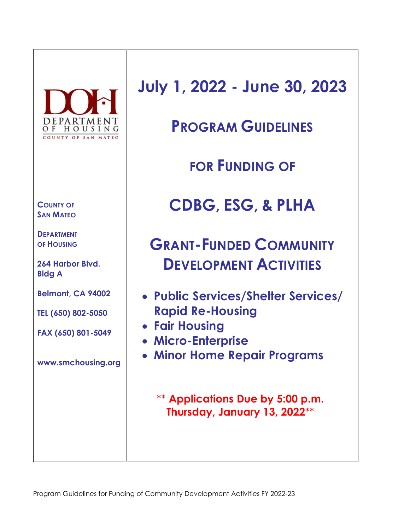

**COUNTY OF SAN MATEO** 

**DEPARTMENT OF HOUSING**

**264 Harbor Blvd. Bldg A**

**Belmont, CA 94002**

**TEL (650) 802-5050**

**FAX (650) 801-5049**

**www.smchousing.org**

**July 1, 2022 - June 30, 2023**

**PROGRAM GUIDELINES**

**FOR FUNDING OF**

**CDBG, ESG, & PLHA**

**GRANT-FUNDED COMMUNITY DEVELOPMENT ACTIVITIES**

- **Public Services/Shelter Services/ Rapid Re-Housing**
- **Fair Housing**
- **Micro-Enterprise**
- **Minor Home Repair Programs**

\*\* **Applications Due by 5:00 p.m. Thursday, January 13, 2022**\*\*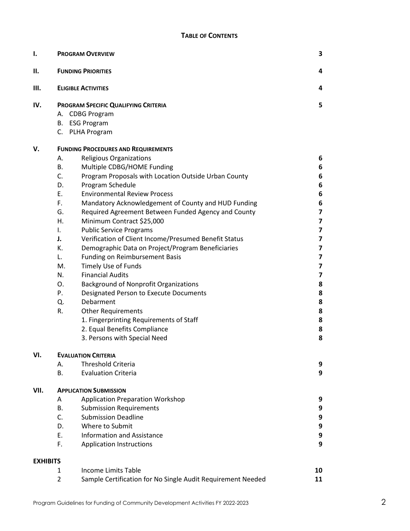| Ι.              | <b>PROGRAM OVERVIEW</b>                                          | 3                       |  |  |  |  |  |  |  |  |  |
|-----------------|------------------------------------------------------------------|-------------------------|--|--|--|--|--|--|--|--|--|
| П.              | <b>FUNDING PRIORITIES</b>                                        |                         |  |  |  |  |  |  |  |  |  |
| Ш.              | <b>ELIGIBLE ACTIVITIES</b>                                       |                         |  |  |  |  |  |  |  |  |  |
| IV.             | PROGRAM SPECIFIC QUALIFYING CRITERIA                             | 5                       |  |  |  |  |  |  |  |  |  |
|                 | A. CDBG Program                                                  |                         |  |  |  |  |  |  |  |  |  |
|                 | B. ESG Program                                                   |                         |  |  |  |  |  |  |  |  |  |
|                 | C. PLHA Program                                                  |                         |  |  |  |  |  |  |  |  |  |
| v.              | <b>FUNDING PROCEDURES AND REQUIREMENTS</b>                       |                         |  |  |  |  |  |  |  |  |  |
|                 | Religious Organizations<br>А.                                    | 6                       |  |  |  |  |  |  |  |  |  |
|                 | Multiple CDBG/HOME Funding<br>В.                                 | 6                       |  |  |  |  |  |  |  |  |  |
|                 | C.<br>Program Proposals with Location Outside Urban County       | 6                       |  |  |  |  |  |  |  |  |  |
|                 | D.<br>Program Schedule                                           | 6                       |  |  |  |  |  |  |  |  |  |
|                 | E.<br><b>Environmental Review Process</b>                        | 6                       |  |  |  |  |  |  |  |  |  |
|                 | F.<br>Mandatory Acknowledgement of County and HUD Funding        | 6                       |  |  |  |  |  |  |  |  |  |
|                 | G.<br>Required Agreement Between Funded Agency and County        | $\overline{\mathbf{z}}$ |  |  |  |  |  |  |  |  |  |
|                 | Minimum Contract \$25,000<br>Η.                                  | 7                       |  |  |  |  |  |  |  |  |  |
|                 | <b>Public Service Programs</b><br>I.                             | $\overline{\mathbf{z}}$ |  |  |  |  |  |  |  |  |  |
|                 | Verification of Client Income/Presumed Benefit Status<br>J.      | 7                       |  |  |  |  |  |  |  |  |  |
|                 | К.<br>Demographic Data on Project/Program Beneficiaries          | $\overline{\mathbf{z}}$ |  |  |  |  |  |  |  |  |  |
|                 | <b>Funding on Reimbursement Basis</b><br>L.                      | 7                       |  |  |  |  |  |  |  |  |  |
|                 | <b>Timely Use of Funds</b><br>Μ.                                 | $\overline{\mathbf{z}}$ |  |  |  |  |  |  |  |  |  |
|                 | <b>Financial Audits</b><br>N.                                    | 7                       |  |  |  |  |  |  |  |  |  |
|                 | О.<br><b>Background of Nonprofit Organizations</b>               | 8                       |  |  |  |  |  |  |  |  |  |
|                 | P.<br>Designated Person to Execute Documents                     | 8                       |  |  |  |  |  |  |  |  |  |
|                 | Debarment<br>Q.                                                  | 8                       |  |  |  |  |  |  |  |  |  |
|                 | R.<br><b>Other Requirements</b>                                  | 8                       |  |  |  |  |  |  |  |  |  |
|                 | 1. Fingerprinting Requirements of Staff                          | 8                       |  |  |  |  |  |  |  |  |  |
|                 | 2. Equal Benefits Compliance                                     | 8<br>8                  |  |  |  |  |  |  |  |  |  |
|                 | 3. Persons with Special Need                                     |                         |  |  |  |  |  |  |  |  |  |
| VI.             | <b>EVALUATION CRITERIA</b>                                       |                         |  |  |  |  |  |  |  |  |  |
|                 | <b>Threshold Criteria</b><br>А.                                  | 9                       |  |  |  |  |  |  |  |  |  |
|                 | В.<br><b>Evaluation Criteria</b>                                 | 9                       |  |  |  |  |  |  |  |  |  |
| VII.            | <b>APPLICATION SUBMISSION</b>                                    |                         |  |  |  |  |  |  |  |  |  |
|                 | Application Preparation Workshop<br>A                            | 9                       |  |  |  |  |  |  |  |  |  |
|                 | В.<br><b>Submission Requirements</b>                             | 9                       |  |  |  |  |  |  |  |  |  |
|                 | C.<br><b>Submission Deadline</b>                                 | 9                       |  |  |  |  |  |  |  |  |  |
|                 | D.<br>Where to Submit                                            | 9                       |  |  |  |  |  |  |  |  |  |
|                 | E.<br><b>Information and Assistance</b>                          | 9                       |  |  |  |  |  |  |  |  |  |
|                 | F.<br><b>Application Instructions</b>                            | 9                       |  |  |  |  |  |  |  |  |  |
| <b>EXHIBITS</b> |                                                                  |                         |  |  |  |  |  |  |  |  |  |
|                 | Income Limits Table<br>1                                         | 10                      |  |  |  |  |  |  |  |  |  |
|                 | 2<br>Sample Certification for No Single Audit Requirement Needed | 11                      |  |  |  |  |  |  |  |  |  |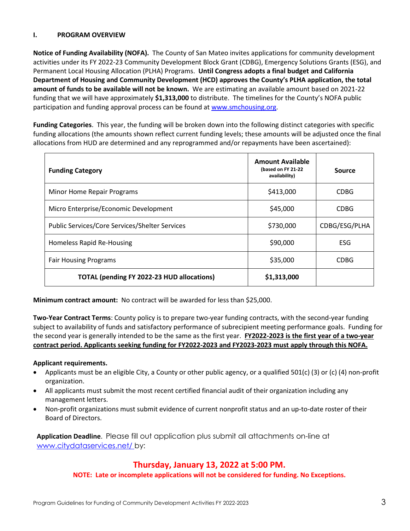#### **I. PROGRAM OVERVIEW**

**Notice of Funding Availability (NOFA).** The County of San Mateo invites applications for community development activities under its FY 2022-23 Community Development Block Grant (CDBG), Emergency Solutions Grants (ESG), and Permanent Local Housing Allocation (PLHA) Programs. **Until Congress adopts a final budget and California Department of Housing and Community Development (HCD) approves the County's PLHA application, the total amount of funds to be available will not be known.** We are estimating an available amount based on 2021-22 funding that we will have approximately **\$1,313,000** to distribute. The timelines for the County's NOFA public participation and funding approval process can be found at [www.smchousing.org.](http://www.smchousing.org/)

**Funding Categories**. This year, the funding will be broken down into the following distinct categories with specific funding allocations (the amounts shown reflect current funding levels; these amounts will be adjusted once the final allocations from HUD are determined and any reprogrammed and/or repayments have been ascertained):

| <b>Funding Category</b>                               | <b>Amount Available</b><br>(based on FY 21-22<br>availability) | Source        |
|-------------------------------------------------------|----------------------------------------------------------------|---------------|
| Minor Home Repair Programs                            | \$413,000                                                      | CDBG          |
| Micro Enterprise/Economic Development                 | \$45,000                                                       | <b>CDBG</b>   |
| <b>Public Services/Core Services/Shelter Services</b> | \$730,000                                                      | CDBG/ESG/PLHA |
| <b>Homeless Rapid Re-Housing</b>                      | \$90,000                                                       | ESG           |
| <b>Fair Housing Programs</b>                          | \$35,000                                                       | <b>CDBG</b>   |
| <b>TOTAL (pending FY 2022-23 HUD allocations)</b>     | \$1,313,000                                                    |               |

**Minimum contract amount:** No contract will be awarded for less than \$25,000.

**Two-Year Contract Terms**: County policy is to prepare two-year funding contracts, with the second-year funding subject to availability of funds and satisfactory performance of subrecipient meeting performance goals. Funding for the second year is generally intended to be the same as the first year. **FY2022-2023 is the first year of a two-year contract period. Applicants seeking funding for FY2022-2023 and FY2023-2023 must apply through this NOFA.**

#### **Applicant requirements.**

- Applicants must be an eligible City, a County or other public agency, or a qualified 501(c) (3) or (c) (4) non-profit organization.
- All applicants must submit the most recent certified financial audit of their organization including any management letters.
- Non-profit organizations must submit evidence of current nonprofit status and an up-to-date roster of their Board of Directors.

**Application Deadline**. Please fill out application plus submit all attachments on-line at www.citydataservices.net/ by:

## **Thursday, January 13, 2022 at 5:00 PM.**

**NOTE: Late or incomplete applications will not be considered for funding. No Exceptions.**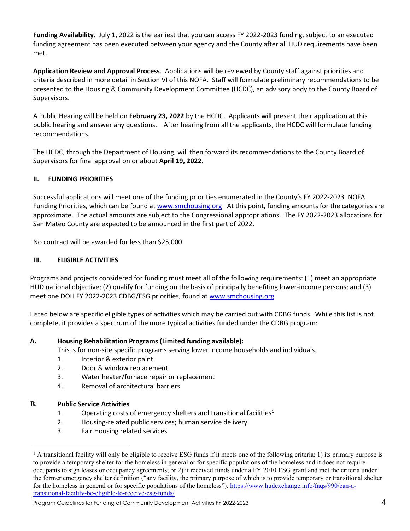**Funding Availability**. July 1, 2022 is the earliest that you can access FY 2022-2023 funding, subject to an executed funding agreement has been executed between your agency and the County after all HUD requirements have been met.

**Application Review and Approval Process**. Applications will be reviewed by County staff against priorities and criteria described in more detail in Section VI of this NOFA. Staff will formulate preliminary recommendations to be presented to the Housing & Community Development Committee (HCDC), an advisory body to the County Board of Supervisors.

A Public Hearing will be held on **February 23, 2022** by the HCDC. Applicants will present their application at this public hearing and answer any questions. After hearing from all the applicants, the HCDC will formulate funding recommendations.

The HCDC, through the Department of Housing, will then forward its recommendations to the County Board of Supervisors for final approval on or about **April 19, 2022**.

### **II. FUNDING PRIORITIES**

Successful applications will meet one of the funding priorities enumerated in the County's FY 2022-2023 NOFA Funding Priorities, which can be found a[t www.smchousing.org](http://www.smchousing.org/) At this point, funding amounts for the categories are approximate. The actual amounts are subject to the Congressional appropriations. The FY 2022-2023 allocations for San Mateo County are expected to be announced in the first part of 2022.

No contract will be awarded for less than \$25,000.

#### **III. ELIGIBLE ACTIVITIES**

Programs and projects considered for funding must meet all of the following requirements: (1) meet an appropriate HUD national objective; (2) qualify for funding on the basis of principally benefiting lower-income persons; and (3) meet one DOH FY 2022-2023 CDBG/ESG priorities, found at [www.smchousing.org](http://www.smchousing.org/)

Listed below are specific eligible types of activities which may be carried out with CDBG funds. While this list is not complete, it provides a spectrum of the more typical activities funded under the CDBG program:

#### **A. Housing Rehabilitation Programs (Limited funding available):**

This is for non-site specific programs serving lower income households and individuals.

- 1. Interior & exterior paint
- 2. Door & window replacement
- 3. Water heater/furnace repair or replacement
- 4. Removal of architectural barriers

#### **B. Public Service Activities**

- [1](#page-3-0). Operating costs of emergency shelters and transitional facilities<sup>1</sup>
- 2. Housing-related public services; human service delivery
- 3. Fair Housing related services

<span id="page-3-0"></span> $1$  A transitional facility will only be eligible to receive ESG funds if it meets one of the following criteria: 1) its primary purpose is to provide a temporary shelter for the homeless in general or for specific populations of the homeless and it does not require occupants to sign leases or occupancy agreements; or 2) it received funds under a FY 2010 ESG grant and met the criteria under the former emergency shelter definition ("any facility, the primary purpose of which is to provide temporary or transitional shelter for the homeless in general or for specific populations of the homeless")[. https://www.hudexchange.info/faqs/990/can-a](https://www.hudexchange.info/faqs/990/can-a-transitional-facility-be-eligible-to-receive-esg-funds/)[transitional-facility-be-eligible-to-receive-esg-funds/](https://www.hudexchange.info/faqs/990/can-a-transitional-facility-be-eligible-to-receive-esg-funds/)

Program Guidelines for Funding of Community Development Activities FY 2022-2023 4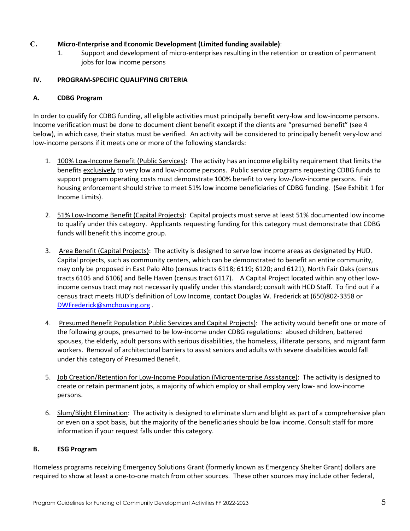### **C. Micro-Enterprise and Economic Development (Limited funding available)**:

1. Support and development of micro-enterprises resulting in the retention or creation of permanent jobs for low income persons

#### **IV. PROGRAM-SPECIFIC QUALIFYING CRITERIA**

#### **A. CDBG Program**

In order to qualify for CDBG funding, all eligible activities must principally benefit very-low and low-income persons. Income verification must be done to document client benefit except if the clients are "presumed benefit" (see 4 below), in which case, their status must be verified. An activity will be considered to principally benefit very-low and low-income persons if it meets one or more of the following standards:

- 1. 100% Low-Income Benefit (Public Services): The activity has an income eligibility requirement that limits the benefits exclusively to very low and low-income persons. Public service programs requesting CDBG funds to support program operating costs must demonstrate 100% benefit to very low-/low-income persons. Fair housing enforcement should strive to meet 51% low income beneficiaries of CDBG funding. (See Exhibit 1 for Income Limits).
- 2. 51% Low-Income Benefit (Capital Projects): Capital projects must serve at least 51% documented low income to qualify under this category. Applicants requesting funding for this category must demonstrate that CDBG funds will benefit this income group.
- 3. Area Benefit (Capital Projects): The activity is designed to serve low income areas as designated by HUD. Capital projects, such as community centers, which can be demonstrated to benefit an entire community, may only be proposed in East Palo Alto (census tracts 6118; 6119; 6120; and 6121), North Fair Oaks (census tracts 6105 and 6106) and Belle Haven (census tract 6117). A Capital Project located within any other lowincome census tract may not necessarily qualify under this standard; consult with HCD Staff. To find out if a census tract meets HUD's definition of Low Income, contact Douglas W. Frederick at (650)802-3358 or [DWFrederick@smchousing.org](mailto:DWFrederick@smchousing.org) .
- 4. Presumed Benefit Population Public Services and Capital Projects): The activity would benefit one or more of the following groups, presumed to be low-income under CDBG regulations: abused children, battered spouses, the elderly, adult persons with serious disabilities, the homeless, illiterate persons, and migrant farm workers. Removal of architectural barriers to assist seniors and adults with severe disabilities would fall under this category of Presumed Benefit.
- 5. Job Creation/Retention for Low-Income Population (Microenterprise Assistance): The activity is designed to create or retain permanent jobs, a majority of which employ or shall employ very low- and low-income persons.
- 6. Slum/Blight Elimination: The activity is designed to eliminate slum and blight as part of a comprehensive plan or even on a spot basis, but the majority of the beneficiaries should be low income. Consult staff for more information if your request falls under this category.

#### **B. ESG Program**

Homeless programs receiving Emergency Solutions Grant (formerly known as Emergency Shelter Grant) dollars are required to show at least a one-to-one match from other sources. These other sources may include other federal,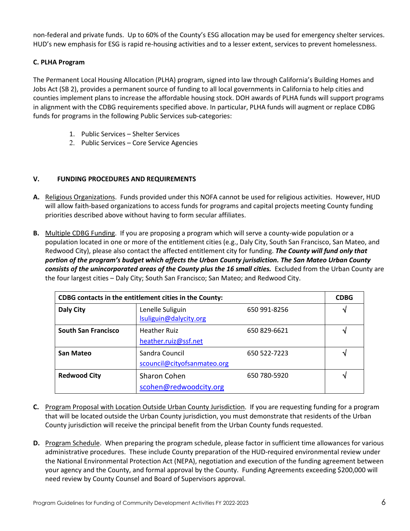non-federal and private funds. Up to 60% of the County's ESG allocation may be used for emergency shelter services. HUD's new emphasis for ESG is rapid re-housing activities and to a lesser extent, services to prevent homelessness.

### **C. PLHA Program**

The Permanent Local Housing Allocation (PLHA) program, signed into law through California's Building Homes and Jobs Act (SB 2), provides a permanent source of funding to all local governments in California to help cities and counties implement plans to increase the affordable housing stock. DOH awards of PLHA funds will support programs in alignment with the CDBG requirements specified above. In particular, PLHA funds will augment or replace CDBG funds for programs in the following Public Services sub-categories:

- 1. Public Services Shelter Services
- 2. Public Services Core Service Agencies

#### **V. FUNDING PROCEDURES AND REQUIREMENTS**

- **A.** Religious Organizations. Funds provided under this NOFA cannot be used for religious activities. However, HUD will allow faith-based organizations to access funds for programs and capital projects meeting County funding priorities described above without having to form secular affiliates.
- **B.** Multiple CDBG Funding. If you are proposing a program which will serve a county-wide population or a population located in one or more of the entitlement cities (e.g., Daly City, South San Francisco, San Mateo, and Redwood City), please also contact the affected entitlement city for funding. *The County will fund only that portion of the program's budget which affects the Urban County jurisdiction. The San Mateo Urban County consists of the unincorporated areas of the County plus the 16 small cities.* Excluded from the Urban County are the four largest cities – Daly City; South San Francisco; San Mateo; and Redwood City.

| CDBG contacts in the entitlement cities in the County: |                                               |              |              |  |  |  |  |  |
|--------------------------------------------------------|-----------------------------------------------|--------------|--------------|--|--|--|--|--|
| <b>Daly City</b>                                       | Lenelle Suliguin<br>Isuliguin@dalycity.org    | 650 991-8256 |              |  |  |  |  |  |
| <b>South San Francisco</b>                             | <b>Heather Ruiz</b><br>heather.ruiz@ssf.net   | 650 829-6621 | V            |  |  |  |  |  |
| San Mateo                                              | Sandra Council<br>scouncil@cityofsanmateo.org | 650 522-7223 | $\mathbf{v}$ |  |  |  |  |  |
| <b>Redwood City</b>                                    | <b>Sharon Cohen</b><br>scohen@redwoodcity.org | 650 780-5920 | V            |  |  |  |  |  |

- **C.** Program Proposal with Location Outside Urban County Jurisdiction. If you are requesting funding for a program that will be located outside the Urban County jurisdiction, you must demonstrate that residents of the Urban County jurisdiction will receive the principal benefit from the Urban County funds requested.
- **D.** Program Schedule. When preparing the program schedule, please factor in sufficient time allowances for various administrative procedures. These include County preparation of the HUD-required environmental review under the National Environmental Protection Act (NEPA), negotiation and execution of the funding agreement between your agency and the County, and formal approval by the County. Funding Agreements exceeding \$200,000 will need review by County Counsel and Board of Supervisors approval.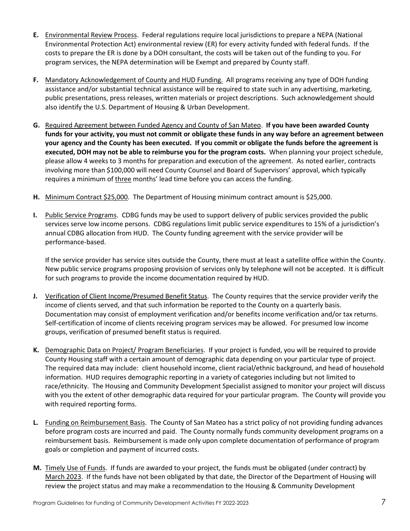- **E.** Environmental Review Process. Federal regulations require local jurisdictions to prepare a NEPA (National Environmental Protection Act) environmental review (ER) for every activity funded with federal funds. If the costs to prepare the ER is done by a DOH consultant, the costs will be taken out of the funding to you. For program services, the NEPA determination will be Exempt and prepared by County staff.
- **F.** Mandatory Acknowledgement of County and HUD Funding. All programs receiving any type of DOH funding assistance and/or substantial technical assistance will be required to state such in any advertising, marketing, public presentations, press releases, written materials or project descriptions. Such acknowledgement should also identify the U.S. Department of Housing & Urban Development.
- **G.** Required Agreement between Funded Agency and County of San Mateo. **If you have been awarded County funds for your activity, you must not commit or obligate these funds in any way before an agreement between your agency and the County has been executed. If you commit or obligate the funds before the agreement is executed, DOH may not be able to reimburse you for the program costs.** When planning your project schedule, please allow 4 weeks to 3 months for preparation and execution of the agreement. As noted earlier, contracts involving more than \$100,000 will need County Counsel and Board of Supervisors' approval, which typically requires a minimum of three months' lead time before you can access the funding.
- **H.** Minimum Contract \$25,000. The Department of Housing minimum contract amount is \$25,000.
- **I.** Public Service Programs. CDBG funds may be used to support delivery of public services provided the public services serve low income persons. CDBG regulations limit public service expenditures to 15% of a jurisdiction's annual CDBG allocation from HUD. The County funding agreement with the service provider will be performance-based.

If the service provider has service sites outside the County, there must at least a satellite office within the County. New public service programs proposing provision of services only by telephone will not be accepted. It is difficult for such programs to provide the income documentation required by HUD.

- **J.** Verification of Client Income/Presumed Benefit Status. The County requires that the service provider verify the income of clients served, and that such information be reported to the County on a quarterly basis. Documentation may consist of employment verification and/or benefits income verification and/or tax returns. Self-certification of income of clients receiving program services may be allowed. For presumed low income groups, verification of presumed benefit status is required.
- **K.** Demographic Data on Project/ Program Beneficiaries. If your project is funded, you will be required to provide County Housing staff with a certain amount of demographic data depending on your particular type of project. The required data may include: client household income, client racial/ethnic background, and head of household information. HUD requires demographic reporting in a variety of categories including but not limited to race/ethnicity. The Housing and Community Development Specialist assigned to monitor your project will discuss with you the extent of other demographic data required for your particular program. The County will provide you with required reporting forms.
- **L.** Funding on Reimbursement Basis. The County of San Mateo has a strict policy of not providing funding advances before program costs are incurred and paid. The County normally funds community development programs on a reimbursement basis. Reimbursement is made only upon complete documentation of performance of program goals or completion and payment of incurred costs.
- **M.** Timely Use of Funds. If funds are awarded to your project, the funds must be obligated (under contract) by March 2023. If the funds have not been obligated by that date, the Director of the Department of Housing will review the project status and may make a recommendation to the Housing & Community Development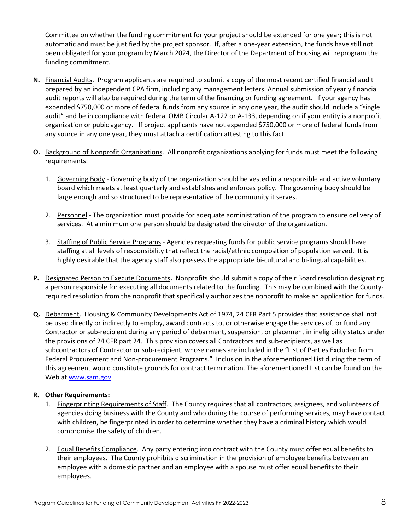Committee on whether the funding commitment for your project should be extended for one year; this is not automatic and must be justified by the project sponsor. If, after a one-year extension, the funds have still not been obligated for your program by March 2024, the Director of the Department of Housing will reprogram the funding commitment.

- **N.** Financial Audits. Program applicants are required to submit a copy of the most recent certified financial audit prepared by an independent CPA firm, including any management letters. Annual submission of yearly financial audit reports will also be required during the term of the financing or funding agreement. If your agency has expended \$750,000 or more of federal funds from any source in any one year, the audit should include a "single audit" and be in compliance with federal OMB Circular A-122 or A-133, depending on if your entity is a nonprofit organization or pubic agency. If project applicants have not expended \$750,000 or more of federal funds from any source in any one year, they must attach a certification attesting to this fact.
- **O.** Background of Nonprofit Organizations. All nonprofit organizations applying for funds must meet the following requirements:
	- 1. Governing Body Governing body of the organization should be vested in a responsible and active voluntary board which meets at least quarterly and establishes and enforces policy. The governing body should be large enough and so structured to be representative of the community it serves.
	- 2. Personnel The organization must provide for adequate administration of the program to ensure delivery of services. At a minimum one person should be designated the director of the organization.
	- 3. Staffing of Public Service Programs Agencies requesting funds for public service programs should have staffing at all levels of responsibility that reflect the racial/ethnic composition of population served. It is highly desirable that the agency staff also possess the appropriate bi-cultural and bi-lingual capabilities.
- **P.** Designated Person to Execute Documents**.** Nonprofits should submit a copy of their Board resolution designating a person responsible for executing all documents related to the funding. This may be combined with the Countyrequired resolution from the nonprofit that specifically authorizes the nonprofit to make an application for funds.
- **Q.** Debarment. Housing & Community Developments Act of 1974, 24 CFR Part 5 provides that assistance shall not be used directly or indirectly to employ, award contracts to, or otherwise engage the services of, or fund any Contractor or sub-recipient during any period of debarment, suspension, or placement in ineligibility status under the provisions of 24 CFR part 24. This provision covers all Contractors and sub-recipients, as well as subcontractors of Contractor or sub-recipient, whose names are included in the "List of Parties Excluded from Federal Procurement and Non-procurement Programs." Inclusion in the aforementioned List during the term of this agreement would constitute grounds for contract termination. The aforementioned List can be found on the Web a[t www.sam.gov.](http://www.sam.gov/)

#### **R. Other Requirements:**

- 1. Fingerprinting Requirements of Staff. The County requires that all contractors, assignees, and volunteers of agencies doing business with the County and who during the course of performing services, may have contact with children, be fingerprinted in order to determine whether they have a criminal history which would compromise the safety of children.
- 2. Equal Benefits Compliance. Any party entering into contract with the County must offer equal benefits to their employees. The County prohibits discrimination in the provision of employee benefits between an employee with a domestic partner and an employee with a spouse must offer equal benefits to their employees.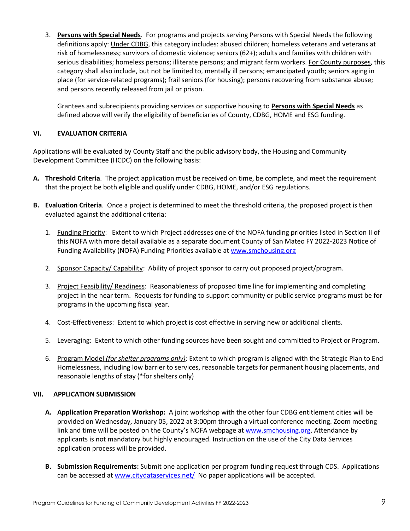3. **Persons with Special Needs**. For programs and projects serving Persons with Special Needs the following definitions apply: Under CDBG, this category includes: abused children; homeless veterans and veterans at risk of homelessness; survivors of domestic violence; seniors (62+); adults and families with children with serious disabilities; homeless persons; illiterate persons; and migrant farm workers. For County purposes, this category shall also include, but not be limited to, mentally ill persons; emancipated youth; seniors aging in place (for service-related programs); frail seniors (for housing); persons recovering from substance abuse; and persons recently released from jail or prison.

Grantees and subrecipients providing services or supportive housing to **Persons with Special Needs** as defined above will verify the eligibility of beneficiaries of County, CDBG, HOME and ESG funding.

#### **VI. EVALUATION CRITERIA**

Applications will be evaluated by County Staff and the public advisory body, the Housing and Community Development Committee (HCDC) on the following basis:

- **A. Threshold Criteria**. The project application must be received on time, be complete, and meet the requirement that the project be both eligible and qualify under CDBG, HOME, and/or ESG regulations.
- **B. Evaluation Criteria**. Once a project is determined to meet the threshold criteria, the proposed project is then evaluated against the additional criteria:
	- 1. Funding Priority: Extent to which Project addresses one of the NOFA funding priorities listed in Section II of this NOFA with more detail available as a separate document County of San Mateo FY 2022-2023 Notice of Funding Availability (NOFA) Funding Priorities available at [www.smchousing.org](http://www.smchousing.org/)
	- 2. Sponsor Capacity/ Capability: Ability of project sponsor to carry out proposed project/program.
	- 3. Project Feasibility/ Readiness: Reasonableness of proposed time line for implementing and completing project in the near term. Requests for funding to support community or public service programs must be for programs in the upcoming fiscal year.
	- 4. Cost-Effectiveness: Extent to which project is cost effective in serving new or additional clients.
	- 5. Leveraging: Extent to which other funding sources have been sought and committed to Project or Program.
	- 6. Program Model *(for shelter programs only)*: Extent to which program is aligned with the Strategic Plan to End Homelessness, including low barrier to services, reasonable targets for permanent housing placements, and reasonable lengths of stay (\*for shelters only)

#### **VII. APPLICATION SUBMISSION**

- **A. Application Preparation Workshop:** A joint workshop with the other four CDBG entitlement cities will be provided on Wednesday, January 05, 2022 at 3:00pm through a virtual conference meeting. Zoom meeting link and time will be posted on the County's NOFA webpage at [www.smchousing.org.](http://www.smchousing.org/) Attendance by applicants is not mandatory but highly encouraged. Instruction on the use of the City Data Services application process will be provided.
- **B. Submission Requirements:** Submit one application per program funding request through CDS. Applications can be accessed at [www.citydataservices.net/](http://www.citydataservices.net/) No paper applications will be accepted.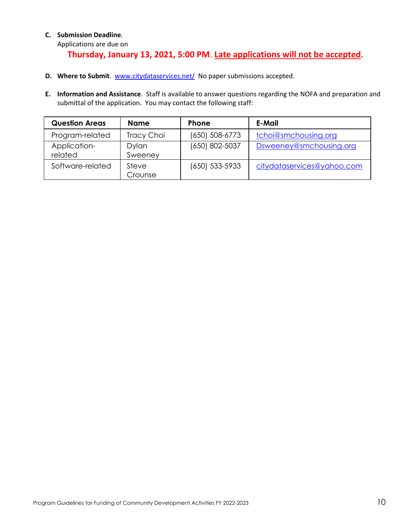### **C. Submission Deadline**.

Applications are due on

# **Thursday, January 13, 2021, 5:00 PM**. **Late applications will not be accepted**.

- **D.** Where to Submit. [www.citydataservices.net/](http://www.citydataservices.net/) No paper submissions accepted.
- **E. Information and Assistance**. Staff is available to answer questions regarding the NOFA and preparation and submittal of the application. You may contact the following staff:

| <b>Question Areas</b>   | Name             | <b>Phone</b>       | E-Mail                     |
|-------------------------|------------------|--------------------|----------------------------|
| Program-related         | Tracy Choi       | (650) 508-6773     | tchoi@smchousing.org       |
| Application-<br>related | Dylan<br>Sweeney | (650) 802-5037     | Dsweeney@smchousing.org    |
| Software-related        | Steve<br>Crounse | $(650) 533 - 5933$ | citydataservices@yahoo.com |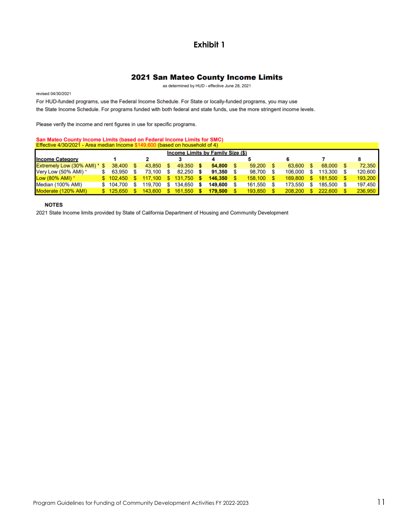## **Exhibit 1**

#### 2021 San Mateo County Income Limits

as determined by HUD - effective June 28, 2021

revised 04/30/2021

For HUD-funded programs, use the Federal Income Schedule. For State or locally-funded programs, you may use the State Income Schedule. For programs funded with both federal and state funds, use the more stringent income levels.

Please verify the income and rent figures in use for specific programs.

## San Mateo County Income Limits (based on Federal Income Limits for SMC)

| <b>Effective 4/30/2021 - Area median income \$149,600 (pased on household of 4)</b> |  |           |  |         |    |         |  |         |  |         |  |         |         |         |
|-------------------------------------------------------------------------------------|--|-----------|--|---------|----|---------|--|---------|--|---------|--|---------|---------|---------|
| <b>Income Limits by Family Size (\$)</b>                                            |  |           |  |         |    |         |  |         |  |         |  |         |         |         |
| <b>Income Category</b>                                                              |  |           |  |         |    |         |  |         |  |         |  |         |         |         |
| Extremely Low (30% AMI) * \$                                                        |  | 38,400    |  | 43.850  |    | 49.350  |  | 54.800  |  | 59,200  |  | 63.600  | 68,000  | 72.350  |
| Very Low (50% AMI) *                                                                |  | 63.950    |  | 73,100  |    | 82.250  |  | 91.350  |  | 98,700  |  | 106,000 | 113.300 | 120,600 |
| Low $(80\% \text{ AMI})$ *                                                          |  | \$102.450 |  | 117.100 | S. | 131,750 |  | 146,350 |  | 158,100 |  | 169.800 | 181.500 | 193,200 |
| Median (100% AMI)                                                                   |  | \$104,700 |  | 119.700 |    | 134,650 |  | 149.600 |  | 161,550 |  | 173.550 | 185,500 | 197.450 |
| Moderate (120% AMI)                                                                 |  | \$125.650 |  | 143,600 |    | 161,550 |  | 179,500 |  | 193,850 |  | 208,200 | 222,600 | 236,950 |

#### **NOTES**

2021 State Income limits provided by State of California Department of Housing and Community Development